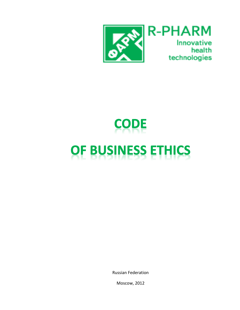

# **CODE** OF BUSINESS ETHICS

Russian Federation

Moscow, 2012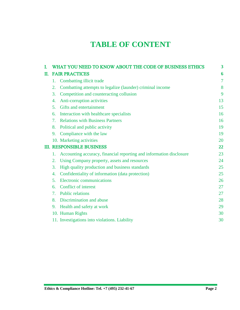# **TABLE OF CONTENT**

| T. |                       | WHAT YOU NEED TO KNOW ABOUT THE CODE OF BUSINESS ETHICS             | 3  |
|----|-----------------------|---------------------------------------------------------------------|----|
| П. | <b>FAIR PRACTICES</b> |                                                                     |    |
|    | 1.                    | Combatting illicit trade                                            | 7  |
|    | 2.                    | Combatting attempts to legalize (launder) criminal income           | 8  |
|    | 3.                    | Competition and counteracting collusion                             | 9  |
|    | 4.                    | Anti-corruption activities                                          | 13 |
|    | 5.                    | Gifts and entertainment                                             | 15 |
|    | 6.                    | Interaction with healthcare specialists                             | 16 |
|    | 7.                    | <b>Relations with Business Partners</b>                             | 16 |
|    | 8.                    | Political and public activity                                       | 19 |
|    | 9.                    | Compliance with the law                                             | 19 |
|    |                       | 10. Marketing activities                                            | 20 |
|    |                       | <b>III. RESPONSIBLE BUSINESS</b>                                    | 22 |
|    | 1.                    | Accounting accuracy, financial reporting and information disclosure | 23 |
|    | 2.                    | Using Company property, assets and resources                        | 24 |
|    | 3.                    | High quality production and business standards                      | 25 |
|    | 4.                    | Confidentiality of information (data protection)                    | 25 |
|    | 5.                    | Electronic communications                                           | 26 |
|    | б.                    | <b>Conflict of interest</b>                                         | 27 |
|    | 7.                    | <b>Public relations</b>                                             | 27 |
|    | 8.                    | Discrimination and abuse                                            | 28 |
|    | 9.                    | Health and safety at work                                           | 29 |
|    |                       | 10. Human Rights                                                    | 30 |
|    |                       | 11. Investigations into violations. Liability                       | 30 |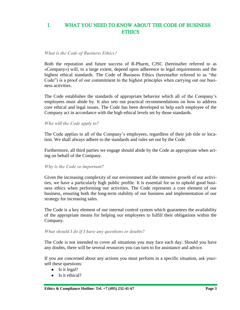#### L. WHAT YOU NEED TO KNOW ABOUT THE CODE OF BUSINESS **ETHICS**

#### *What is the Code of Business Ethics***?**

Both the reputation and future success of R-Pharm, CJSC (hereinafter referred to as «Company») will, to a large extent, depend upon adherence to legal requirements and the highest ethical standards. The Code of Business Ethics (hereinafter referred to as "the Code") is a proof of our commitment to the highest principles when carrying out our business activities.

The Code establishes the standards of appropriate behavior which all of the Company's employees must abide by. It also sets out practical recommendations on how to address core ethical and legal issues. The Code has been developed to help each employee of the Company act in accordance with the high ethical levels set by those standards.

*Who will the Code apply to?*

The Code applies to all of the Company's employees, regardless of their job title or location. We shall always adhere to the standards and rules set out by the Code.

Furthermore, all third parties we engage should abide by the Code as appropriate when acting on behalf of the Company.

#### *Why is the Code so important?*

Given the increasing complexity of our environment and the intensive growth of our activities, we have a particularly high public profile. It is essential for us to uphold good business ethics when performing our activities. The Code represents a core element of our business, ensuring both the long-term stability of our business and implementation of our strategy for increasing sales.

The Code is a key element of our internal control system which guarantees the availability of the appropriate means for helping our employees to fulfill their obligations within the Company.

#### *What should I do if I have any questions or doubts?*

The Code is not intended to cover all situations you may face each day. Should you have any doubts, there will be several resources you can turn to for assistance and advice.

If you are concerned about any actions you must perform in a specific situation, ask yourself these questions:

- $\bullet$  Is it legal?
- Is it ethical?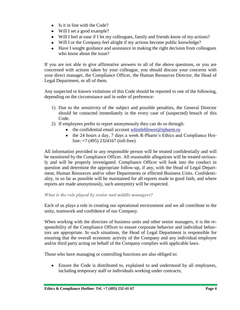- Is it in line with the Code?
- Will I set a good example?
- Will I feel at ease if I let my colleagues, family and friends know of my actions?
- Will I or the Company feel alright if my actions become public knowledge?
- Have I sought guidance and assistance in making the right decision from colleagues who know about the issue?

If you are not able to give affirmative answers to all of the above questions, or you are concerned with actions taken by your colleague, you should discuss your concerns with your direct manager, the Compliance Officer, the Human Resources Director, the Head of Legal Department, or all of them.

Any suspected or known violations of this Code should be reported to one of the following, depending on the circumstance and in order of preference:

- 1) Due to the sensitivity of the subject and possible penalties, the General Director should be contacted immediately in the every case of (suspected) breach of this Code.
- 2) If employees prefer to report anonymously they can do so through:
	- the confidential email account [whistleblower@rpharm.ru](mailto:whistleblower@rpharm.ru)
	- the 24 hours a day, 7 days a week R-Pharm's Ethics and Compliance Hotline: +7 (495) 2324167 (toll-free)

All information provided to any responsible person will be treated confidentially and will be monitored by the Compliance Officer. All reasonable allegations will be treated seriously and will be properly investigated. Compliance Officer will look into the conduct in question and determine the appropriate follow-up, if any, with the Head of Legal Department, Human Resources and/or other Departments or effected Business Units. Confidentiality, in so far as possible will be maintained for all reports made in good faith, and where reports are made anonymously, such anonymity will be respected.

## *What is the role played by senior and middle managers?*

Each of us plays a role in creating our operational environment and we all contribute to the unity, teamwork and confidence of our Company.

When working with the directors of business units and other senior managers, it is the responsibility of the Compliance Officer to ensure corporate behavior and individual behaviors are appropriate. In such situations, the Head of Legal Department is responsible for ensuring that the overall economic activity of the Company and any individual employee and/or third party acting on behalf of the Company complies with applicable laws.

Those who have managing or controlling functions are also obliged to:

Ensure the Code is distributed to, explained to and understood by all employees, including temporary staff or individuals working under contracts;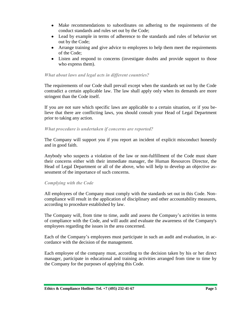- Make recommendations to subordinates on adhering to the requirements of the conduct standards and rules set out by the Code;
- Lead by example in terms of adherence to the standards and rules of behavior set out by the Code;
- Arrange training and give advice to employees to help them meet the requirements of the Code;
- Listen and respond to concerns (investigate doubts and provide support to those who express them).

#### *What about laws and legal acts in different countries?*

The requirements of our Code shall prevail except when the standards set out by the Code contradict a certain applicable law. The law shall apply only when its demands are more stringent than the Code itself.

If you are not sure which specific laws are applicable to a certain situation, or if you believe that there are conflicting laws, you should consult your Head of Legal Department prior to taking any action.

#### *What procedure is undertaken if concerns are reported?*

The Company will support you if you report an incident of explicit misconduct honestly and in good faith.

Anybody who suspects a violation of the law or non-fulfillment of the Code must share their concerns either with their immediate manager, the Human Resources Director, the Head of Legal Department or all of the above, who will help to develop an objective assessment of the importance of such concerns.

#### *Complying with the Code*

All employees of the Company must comply with the standards set out in this Code. Noncompliance will result in the application of disciplinary and other accountability measures, according to procedure established by law.

The Company will, from time to time, audit and assess the Company's activities in terms of compliance with the Code, and will audit and evaluate the awareness of the Company's employees regarding the issues in the area concerned.

Each of the Company's employees must participate in such an audit and evaluation, in accordance with the decision of the management.

Each employee of the company must, according to the decision taken by his or her direct manager, participate in educational and training activities arranged from time to time by the Company for the purposes of applying this Code.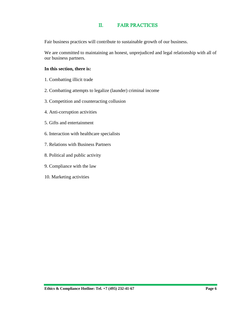#### Π. **FAIR PRACTICES**

Fair business practices will contribute to sustainable growth of our business.

We are committed to maintaining an honest, unprejudiced and legal relationship with all of our business partners.

#### **In this section, there is:**

- 1. Combatting illicit trade
- 2. Combatting attempts to legalize (launder) criminal income
- 3. Competition and counteracting collusion
- 4. Anti-corruption activities
- 5. Gifts and entertainment
- 6. Interaction with healthcare specialists
- 7. Relations with Business Partners
- 8. Political and public activity
- 9. Compliance with the law
- 10. Marketing activities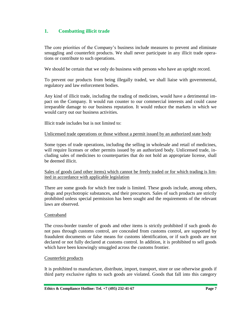## **1. Combatting illicit trade**

The core priorities of the Company's business include measures to prevent and eliminate smuggling and counterfeit products. We shall never participate in any illicit trade operations or contribute to such operations.

We should be certain that we only do business with persons who have an upright record.

To prevent our products from being illegally traded, we shall liaise with governmental, regulatory and law enforcement bodies.

Any kind of illicit trade, including the trading of medicines, would have a detrimental impact on the Company. It would run counter to our commercial interests and could cause irreparable damage to our business reputation. It would reduce the markets in which we would carry out our business activities.

Illicit trade includes but is not limited to:

#### Unlicensed trade operations or those without a permit issued by an authorized state body

Some types of trade operations, including the selling in wholesale and retail of medicines, will require licenses or other permits issued by an authorized body. Unlicensed trade, including sales of medicines to counterparties that do not hold an appropriate license, shall be deemed illicit.

Sales of goods (and other items) which cannot be freely traded or for which trading is limited in accordance with applicable legislation

There are some goods for which free trade is limited. These goods include, among others, drugs and psychotropic substances, and their precursors. Sales of such products are strictly prohibited unless special permission has been sought and the requirements of the relevant laws are observed.

#### Contraband

The cross-border transfer of goods and other items is strictly prohibited if such goods do not pass through customs control, are concealed from customs control, are supported by fraudulent documents or false means for customs identification, or if such goods are not declared or not fully declared at customs control. In addition, it is prohibited to sell goods which have been knowingly smuggled across the customs frontier.

#### Counterfeit products

It is prohibited to manufacture, distribute, import, transport, store or use otherwise goods if third party exclusive rights to such goods are violated. Goods that fall into this category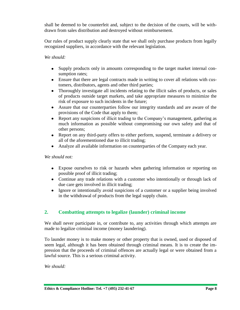shall be deemed to be counterfeit and, subject to the decision of the courts, will be withdrawn from sales distribution and destroyed without reimbursement.

Our rules of product supply clearly state that we shall only purchase products from legally recognized suppliers, in accordance with the relevant legislation.

## *We should:*

- Supply products only in amounts corresponding to the target market internal consumption rates;
- Ensure that there are legal contracts made in writing to cover all relations with customers, distributors, agents and other third parties;
- Thoroughly investigate all incidents relating to the illicit sales of products, or sales of products outside target markets, and take appropriate measures to minimize the risk of exposure to such incidents in the future;
- Assure that our counterparties follow our integrity standards and are aware of the provisions of the Code that apply to them;
- Report any suspicions of illicit trading to the Company's management, gathering as much information as possible without compromising our own safety and that of other persons;
- Report on any third-party offers to either perform, suspend, terminate a delivery or all of the aforementioned due to illicit trading;
- Analyze all available information on counterparties of the Company each year.

*We should not:*

- Expose ourselves to risk or hazards when gathering information or reporting on possible proof of illicit trading;
- Continue any trade relations with a customer who intentionally or through lack of due care gets involved in illicit trading;
- Ignore or intentionally avoid suspicions of a customer or a supplier being involved in the withdrawal of products from the legal supply chain.

## **2. Combatting attempts to legalize (launder) criminal income**

We shall never participate in, or contribute to, any activities through which attempts are made to legalize criminal income (money laundering).

To launder money is to make money or other property that is owned, used or disposed of seem legal, although it has been obtained through criminal means. It is to create the impression that the proceeds of criminal offences are actually legal or were obtained from a lawful source. This is a serious criminal activity.

*We should:*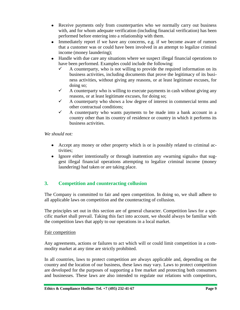- Receive payments only from counterparties who we normally carry out business with, and for whom adequate verification (including financial verification) has been performed before entering into a relationship with them.
- Immediately report if we have any concerns, e.g. if we become aware of rumors that a customer was or could have been involved in an attempt to legalize criminal income (money laundering);
- Handle with due care any situations where we suspect illegal financial operations to have been performed. Examples could include the following:
	- $\checkmark$  A counterparty, who is not willing to provide the required information on its business activities, including documents that prove the legitimacy of its business activities, without giving any reasons, or at least legitimate excuses, for doing so;
	- $\checkmark$  A counterparty who is willing to execute payments in cash without giving any reasons, or at least legitimate excuses, for doing so;
	- $\checkmark$  A counterparty who shows a low degree of interest in commercial terms and other contractual conditions;
	- $\checkmark$  A counterparty who wants payments to be made into a bank account in a country other than its country of residence or country in which it performs its business activities.

## *We should not:*

- Accept any money or other property which is or is possibly related to criminal activities;
- Ignore either intentionally or through inattention any «warning signals» that suggest illegal financial operations attempting to legalize criminal income (money laundering) had taken or are taking place.

## **3. Competition and counteracting collusion**

The Company is committed to fair and open competition. In doing so, we shall adhere to all applicable laws on competition and the counteracting of collusion.

The principles set out in this section are of general character. Competition laws for a specific market shall prevail. Taking this fact into account, we should always be familiar with the competition laws that apply to our operations in a local market.

#### Fair competition

Any agreements, actions or failures to act which will or could limit competition in a commodity market at any time are strictly prohibited.

In all countries, laws to protect competition are always applicable and, depending on the country and the location of our business, these laws may vary. Laws to protect competition are developed for the purposes of supporting a free market and protecting both consumers and businesses. These laws are also intended to regulate our relations with competitors,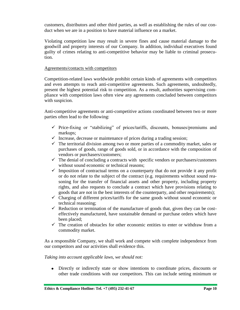customers, distributors and other third parties, as well as establishing the rules of our conduct when we are in a position to have material influence on a market.

Violating competition law may result in severe fines and cause material damage to the goodwill and property interests of our Company. In addition, individual executives found guilty of crimes relating to anti-competitive behavior may be liable to criminal prosecution.

#### Agreements/contacts with competitors

Competition-related laws worldwide prohibit certain kinds of agreements with competitors and even attempts to reach anti-competitive agreements. Such agreements, undoubtedly, present the highest potential risk to competition. As a result, authorities supervising compliance with competition laws often view any agreements concluded between competitors with suspicion.

Anti-competitive agreements or anti-competitive actions coordinated between two or more parties often lead to the following:

- $\checkmark$  Price-fixing or "stabilizing" of prices/tariffs, discounts, bonuses/premiums and markups;
- $\checkmark$  Increase, decrease or maintenance of prices during a trading session;
- $\checkmark$  The territorial division among two or more parties of a commodity market, sales or purchases of goods, range of goods sold, or in accordance with the composition of vendors or purchasers/customers;
- $\checkmark$  The denial of concluding a contracts with specific vendors or purchasers/customers without sound economic or technical reasons;
- $\checkmark$  Imposition of contractual terms on a counterparty that do not provide it any profit or do not relate to the subject of the contract (e.g. requirements without sound reasoning for the transfer of financial assets and other property, including property rights, and also requests to conclude a contract which have provisions relating to goods that are not in the best interests of the counterparty, and other requirements);
- $\checkmark$  Charging of different prices/tariffs for the same goods without sound economic or technical reasoning;
- $\checkmark$  Reduction or termination of the manufacture of goods that, given they can be costeffectively manufactured, have sustainable demand or purchase orders which have been placed;
- $\checkmark$  The creation of obstacles for other economic entities to enter or withdraw from a commodity market.

As a responsible Company, we shall work and compete with complete independence from our competitors and our activities shall evidence this.

#### *Taking into account applicable laws, we should not:*

Directly or indirectly state or show intentions to coordinate prices, discounts or other trade conditions with our competitors. This can include setting minimum or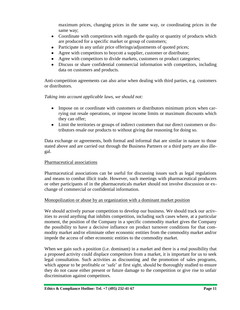maximum prices, changing prices in the same way, or coordinating prices in the same way;

- Coordinate with competitors with regards the quality or quantity of products which are produced for a specific market or group of customers;
- Participate in any unfair price offerings/adjustments of quoted prices;
- Agree with competitors to boycott a supplier, customer or distributor;
- Agree with competitors to divide markets, customers or product categories;
- Discuss or share confidential commercial information with competitors, including data on customers and products.

Anti-competition agreements can also arise when dealing with third parties, e.g. customers or distributors.

#### *Taking into account applicable laws, we should not:*

- Impose on or coordinate with customers or distributors minimum prices when carrying out resale operations, or impose income limits or maximum discounts which they can offer;
- Limit the territories or groups of indirect customers that our direct customers or distributors resale our products to without giving due reasoning for doing so.

Data exchange or agreements, both formal and informal that are similar in nature to those stated above and are carried out through the Business Partners or a third party are also illegal.

#### Pharmaceutical associations

Pharmaceutical associations can be useful for discussing issues such as legal regulations and means to combat illicit trade. However, such meetings with pharmaceutical producers or other participants of in the pharmaceuticals market should not involve discussion or exchange of commercial or confidential information.

#### Monopolization or abuse by an organization with a dominant market position

We should actively pursue competition to develop our business. We should track our activities to avoid anything that inhibits competition, including such cases where, at a particular moment, the position of the Company in a specific commodity market gives the Company the possibility to have a decisive influence on product turnover conditions for that commodity market and/or eliminate other economic entities from the commodity market and/or impede the access of other economic entities to the commodity market.

When we gain such a position (i.e. dominant) in a market and there is a real possibility that a proposed activity could displace competitors from a market, it is important for us to seek legal consultation. Such activities as discounting and the promotion of sales programs, which appear to be profitable or 'safe' at first sight, should be thoroughly studied to ensure they do not cause either present or future damage to the competition or give rise to unfair discrimination against competitors.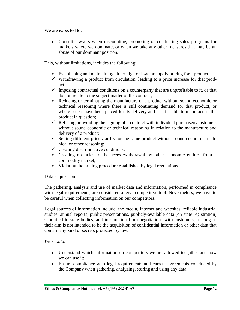We are expected to:

Consult lawyers when discounting, promoting or conducting sales programs for markets where we dominate, or when we take any other measures that may be an abuse of our dominant position.

This, without limitations, includes the following:

- $\checkmark$  Establishing and maintaining either high or low monopoly pricing for a product;
- $\checkmark$  Withdrawing a product from circulation, leading to a price increase for that product;
- $\checkmark$  Imposing contractual conditions on a counterparty that are unprofitable to it, or that do not relate to the subject matter of the contract;
- $\checkmark$  Reducing or terminating the manufacture of a product without sound economic or technical reasoning where there is still continuing demand for that product, or where orders have been placed for its delivery and it is feasible to manufacture the product in question;
- $\checkmark$  Refusing or avoiding the signing of a contract with individual purchasers/customers without sound economic or technical reasoning in relation to the manufacture and delivery of a product;
- $\checkmark$  Setting different prices/tariffs for the same product without sound economic, technical or other reasoning;
- $\checkmark$  Creating discriminative conditions;
- $\checkmark$  Creating obstacles to the access/withdrawal by other economic entities from a commodity market;
- $\checkmark$  Violating the pricing procedure established by legal regulations.

#### Data acquisition

The gathering, analysis and use of market data and information, performed in compliance with legal requirements, are considered a legal competitive tool. Nevertheless, we have to be careful when collecting information on our competitors.

Legal sources of information include: the media, Internet and websites, reliable industrial studies, annual reports, public presentations, publicly-available data (on state registration) submitted to state bodies, and information from negotiations with customers, as long as their aim is not intended to be the acquisition of confidential information or other data that contain any kind of secrets protected by law.

#### *We should:*

- Understand which information on competitors we are allowed to gather and how we can use it;
- Ensure compliance with legal requirements and current agreements concluded by the Company when gathering, analyzing, storing and using any data;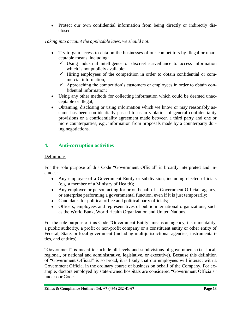• Protect our own confidential information from being directly or indirectly disclosed.

#### *Taking into account the applicable laws, we should not:*

- Try to gain access to data on the businesses of our competitors by illegal or unacceptable means, including:
	- $\checkmark$  Using industrial intelligence or discreet surveillance to access information which is not publicly available;
	- $\checkmark$  Hiring employees of the competition in order to obtain confidential or commercial information;
	- $\checkmark$  Approaching the competition's customers or employees in order to obtain confidential information;
- Using any other methods for collecting information which could be deemed unacceptable or illegal;
- Obtaining, disclosing or using information which we know or may reasonably assume has been confidentially passed to us in violation of general confidentiality provisions or a confidentiality agreement made between a third party and one or more counterparties, e.g., information from proposals made by a counterparty during negotiations.

## **4. Anti-corruption activities**

#### Definitions

For the sole purpose of this Code "Government Official" is broadly interpreted and includes:

- Any employee of a Government Entity or subdivision, including elected officials (e.g. a member of a Ministry of Health);
- Any employee or person acting for or on behalf of a Government Official, agency, or enterprise performing a governmental function, even if it is just temporarily;
- Candidates for political office and political party officials;
- Officers, employees and representatives of public international organizations, such as the World Bank, World Health Organization and United Nations.

For the sole purpose of this Code "Government Entity" means an agency, instrumentality, a public authority, a profit or non-profit company or a constituent entity or other entity of Federal, State, or local government (including multijurisdictional agencies, instrumentalities, and entities).

"Government" is meant to include all levels and subdivisions of governments (i.e. local, regional, or national and administrative, legislative, or executive). Because this definition of "Government Official" is so broad, it is likely that our employees will interact with a Government Official in the ordinary course of business on behalf of the Company. For example, doctors employed by state-owned hospitals are considered "Government Officials" under our Code.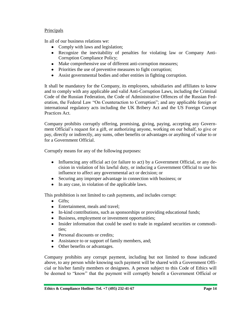## Principals

In all of our business relations we:

- Comply with laws and legislation;
- Recognize the inevitability of penalties for violating law or Company Anti-Corruption Compliance Policy;
- Make comprehensive use of different anti-corruption measures;
- Priorities the use of preventive measures to fight corruption;
- Assist governmental bodies and other entities in fighting corruption.

It shall be mandatory for the Company, its employees, subsidiaries and affiliates to know and to comply with any applicable and valid Anti-Corruption Laws, including the Criminal Code of the Russian Federation, the Code of Administrative Offences of the Russian Federation, the Federal Law "On Counteraction to Corruption"; and any applicable foreign or international regulatory acts including the UK Bribery Act and the US Foreign Corrupt Practices Act.

Company prohibits corruptly offering, promising, giving, paying, accepting any Government Official's request for a gift, or authorizing anyone, working on our behalf, to give or pay, directly or indirectly, any sums, other benefits or advantages or anything of value to or for a Government Official.

Corruptly means for any of the following purposes:

- Influencing any official act (or failure to act) by a Government Official, or any decision in violation of his lawful duty, or inducing a Government Official to use his influence to affect any governmental act or decision; or
- Securing any improper advantage in connection with business; or
- In any case, in violation of the applicable laws.

This prohibition is not limited to cash payments, and includes corrupt:

- $\bullet$  Gifts:
- Entertainment, meals and travel;
- In-kind contributions, such as sponsorships or providing educational funds;
- Business, employment or investment opportunities;
- Insider information that could be used to trade in regulated securities or commodities;
- Personal discounts or credits;
- Assistance to or support of family members, and;
- Other benefits or advantages.

Company prohibits any corrupt payment, including but not limited to those indicated above, to any person while knowing such payment will be shared with a Government Official or his/her family members or designees. A person subject to this Code of Ethics will be deemed to "know" that the payment will corruptly benefit a Government Official or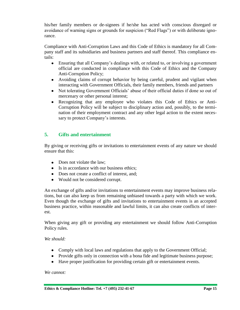his/her family members or de-signees if he/she has acted with conscious disregard or avoidance of warning signs or grounds for suspicion ("Red Flags") or with deliberate ignorance.

Compliance with Anti-Corruption Laws and this Code of Ethics is mandatory for all Company staff and its subsidiaries and business partners and staff thereof. This compliance entails:

- Ensuring that all Company's dealings with, or related to, or involving a government official are conducted in compliance with this Code of Ethics and the Company Anti-Corruption Policy;
- Avoiding claims of corrupt behavior by being careful, prudent and vigilant when interacting with Government Officials, their family members, friends and partners
- Not tolerating Government Officials' abuse of their official duties if done so out of mercenary or other personal interest;
- Recognizing that any employee who violates this Code of Ethics or Anti-Corruption Policy will be subject to disciplinary action and, possibly, to the termination of their employment contract and any other legal action to the extent necessary to protect Company's interests.

## **5. Gifts and entertainment**

By giving or receiving gifts or invitations to entertainment events of any nature we should ensure that this:

- Does not violate the law:
- Is in accordance with our business ethics;
- Does not create a conflict of interest, and;
- Would not be considered corrupt.

An exchange of gifts and/or invitations to entertainment events may improve business relations, but can also keep us from remaining unbiased towards a party with which we work. Even though the exchange of gifts and invitations to entertainment events is an accepted business practice, within reasonable and lawful limits, it can also create conflicts of interest.

When giving any gift or providing any entertainment we should follow Anti-Corruption Policy rules.

#### *We should:*

- Comply with local laws and regulations that apply to the Government Official;
- Provide gifts only in connection with a bona fide and legitimate business purpose;
- Have proper justification for providing certain gift or entertainment events.

#### *We cannot:*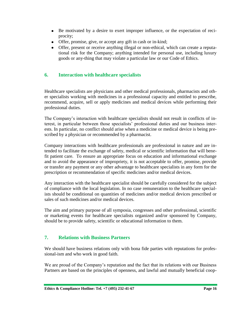- Be motivated by a desire to exert improper influence, or the expectation of reciprocity;
- Offer, promise, give, or accept any gift in cash or in-kind;
- Offer, present or receive anything illegal or non-ethical, which can create a reputational risk for the Company; anything intended for personal use, including luxury goods or any-thing that may violate a particular law or our Code of Ethics.

## **6. Interaction with healthcare specialists**

Healthcare specialists are physicians and other medical professionals, pharmacists and other specialists working with medicines in a professional capacity and entitled to prescribe, recommend, acquire, sell or apply medicines and medical devices while performing their professional duties.

The Company's interaction with healthcare specialists should not result in conflicts of interest, in particular between those specialists' professional duties and our business interests. In particular, no conflict should arise when a medicine or medical device is being prescribed by a physician or recommended by a pharmacist.

Company interactions with healthcare professionals are professional in nature and are intended to facilitate the exchange of safety, medical or scientific information that will benefit patient care. To ensure an appropriate focus on education and informational exchange and to avoid the appearance of impropriety, it is not acceptable to offer, promise, provide or transfer any payment or any other advantage to healthcare specialists in any form for the prescription or recommendation of specific medicines and/or medical devices.

Any interaction with the healthcare specialist should be carefully considered for the subject of compliance with the local legislation. In no case remuneration to the healthcare specialists should be conditional on quantities of medicines and/or medical devices prescribed or sales of such medicines and/or medical devices.

The aim and primary purpose of all symposia, congresses and other professional, scientific or marketing events for healthcare specialists organized and/or sponsored by Company, should be to provide safety, scientific or educational information to them.

## **7. Relations with Business Partners**

We should have business relations only with bona fide parties with reputations for professional-ism and who work in good faith.

We are proud of the Company's reputation and the fact that its relations with our Business Partners are based on the principles of openness, and lawful and mutually beneficial coop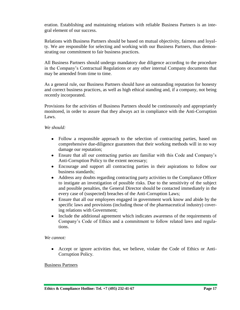eration. Establishing and maintaining relations with reliable Business Partners is an integral element of our success.

Relations with Business Partners should be based on mutual objectivity, fairness and loyalty. We are responsible for selecting and working with our Business Partners, thus demonstrating our commitment to fair business practices.

All Business Partners should undergo mandatory due diligence according to the procedure in the Company's Contractual Regulations or any other internal Company documents that may be amended from time to time.

As a general rule, our Business Partners should have an outstanding reputation for honesty and correct business practices, as well as high ethical standing and, if a company, not being recently incorporated.

Provisions for the activities of Business Partners should be continuously and appropriately monitored, in order to assure that they always act in compliance with the Anti-Corruption Laws.

#### *We should:*

- Follow a responsible approach to the selection of contracting parties, based on comprehensive due-diligence guarantees that their working methods will in no way damage our reputation;
- Ensure that all our contracting parties are familiar with this Code and Company's Anti-Corruption Policy to the extent necessary;
- Encourage and support all contracting parties in their aspirations to follow our business standards;
- Address any doubts regarding contracting party activities to the Compliance Officer to instigate an investigation of possible risks. Due to the sensitivity of the subject and possible penalties, the General Director should be contacted immediately in the every case of (suspected) breaches of the Anti-Corruption Laws;
- Ensure that all our employees engaged in government work know and abide by the specific laws and provisions (including those of the pharmaceutical industry) covering relations with Government;
- Include the additional agreement which indicates awareness of the requirements of Company's Code of Ethics and a commitment to follow related laws and regulations.

#### *We cannot:*

Accept or ignore activities that, we believe, violate the Code of Ethics or Anti-Corruption Policy.

#### Business Partners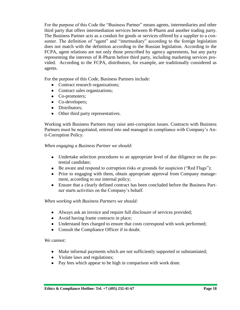For the purpose of this Code the "Business Partner" means agents, intermediaries and other third party that offers intermediation services between R-Pharm and another trading party. The Business Partner acts as a conduit for goods or services offered by a supplier to a consumer. The definition of "agent" and "intermediary" according to the foreign legislation does not match with the definition according to the Russian legislation. According to the FCPA, agent relations are not only those prescribed by agency agreements, but any party representing the interests of R-Pharm before third party, including marketing services provided. According to the FCPA, distributors, for example, are traditionally considered as agents.

For the purpose of this Code, Business Partners include:

- Contract research organizations;
- Contract sales organizations;
- Co-promoters;
- Co-developers;
- Distributors;
- Other third party representatives.

Working with Business Partners may raise anti-corruption issues. Contracts with Business Partners must be negotiated, entered into and managed in compliance with Company's Anti-Corruption Policy.

#### *When engaging a Business Partner we should:*

- Undertake selection procedures to an appropriate level of due diligence on the potential candidate;
- Be aware and respond to corruption risks or grounds for suspicion ("Red Flags");
- Prior to engaging with them, obtain appropriate approval from Company management, according to our internal policy;
- Ensure that a clearly defined contract has been concluded before the Business Partner starts activities on the Company's behalf.

#### *When working with Business Partners we should:*

- Always ask an invoice and require full disclosure of services provided;
- Avoid having frame contracts in place;
- Understand fees charged to ensure that costs correspond with work performed;
- Consult the Compliance Officer if in doubt.

#### *We cannot:*

- Make informal payments which are not sufficiently supported or substantiated;
- Violate laws and regulations;
- Pay fees which appear to be high in comparison with work done.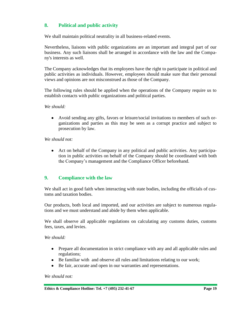## **8. Political and public activity**

We shall maintain political neutrality in all business-related events.

Nevertheless, liaisons with public organizations are an important and integral part of our business. Any such liaisons shall be arranged in accordance with the law and the Company's interests as well.

The Company acknowledges that its employees have the right to participate in political and public activities as individuals. However, employees should make sure that their personal views and opinions are not misconstrued as those of the Company.

The following rules should be applied when the operations of the Company require us to establish contacts with public organizations and political parties.

#### *We should:*

Avoid sending any gifts, favors or leisure/social invitations to members of such organizations and parties as this may be seen as a corrupt practice and subject to prosecution by law.

#### *We should not:*

Act on behalf of the Company in any political and public activities. Any participation in public activities on behalf of the Company should be coordinated with both the Company's management and the Compliance Officer beforehand.

## **9. Compliance with the law**

We shall act in good faith when interacting with state bodies, including the officials of customs and taxation bodies.

Our products, both local and imported, and our activities are subject to numerous regulations and we must understand and abide by them when applicable.

We shall observe all applicable regulations on calculating any customs duties, customs fees, taxes, and levies.

#### *We should:*

- Prepare all documentation in strict compliance with any and all applicable rules and regulations;
- Be familiar with and observe all rules and limitations relating to our work;
- Be fair, accurate and open in our warranties and representations.

#### *We should not:*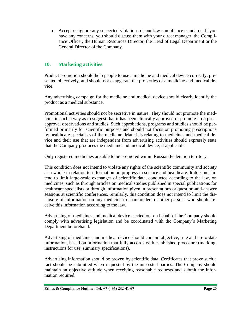Accept or ignore any suspected violations of our law compliance standards. If you have any concerns, you should discuss them with your direct manager, the Compliance Officer, the Human Resources Director, the Head of Legal Department or the General Director of the Company.

## **10. Marketing activities**

Product promotion should help people to use a medicine and medical device correctly, presented objectively, and should not exaggerate the properties of a medicine and medical device.

Any advertising campaign for the medicine and medical device should clearly identify the product as a medical substance.

Promotional activities should not be secretive in nature. They should not promote the medicine in such a way as to suggest that it has been clinically approved or promote it on postapproval observations and studies. Such approbations, programs and studies should be performed primarily for scientific purposes and should not focus on promoting prescriptions by healthcare specialists of the medicine. Materials relating to medicines and medical device and their use that are independent from advertising activities should expressly state that the Company produces the medicine and medical device, if applicable.

Only registered medicines are able to be promoted within Russian Federation territory.

This condition does not intend to violate any rights of the scientific community and society as a whole in relation to information on progress in science and healthcare. It does not intend to limit large-scale exchanges of scientific data, conducted according to the law, on medicines, such as through articles on medical studies published in special publications for healthcare specialists or through information given in presentations or question-and-answer sessions at scientific conferences. Similarly, this condition does not intend to limit the disclosure of information on any medicine to shareholders or other persons who should receive this information according to the law.

Advertising of medicines and medical device carried out on behalf of the Company should comply with advertising legislation and be coordinated with the Company's Marketing Department beforehand.

Advertising of medicines and medical device should contain objective, true and up-to-date information, based on information that fully accords with established procedure (marking, instructions for use, summary specifications).

Advertising information should be proven by scientific data. Certificates that prove such a fact should be submitted when requested by the interested parties. The Company should maintain an objective attitude when receiving reasonable requests and submit the information required.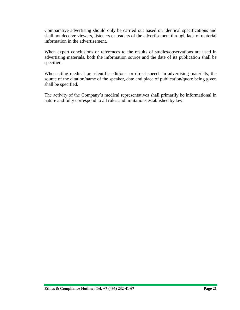Comparative advertising should only be carried out based on identical specifications and shall not deceive viewers, listeners or readers of the advertisement through lack of material information in the advertisement.

When expert conclusions or references to the results of studies/observations are used in advertising materials, both the information source and the date of its publication shall be specified.

When citing medical or scientific editions, or direct speech in advertising materials, the source of the citation/name of the speaker, date and place of publication/quote being given shall be specified.

The activity of the Company's medical representatives shall primarily be informational in nature and fully correspond to all rules and limitations established by law.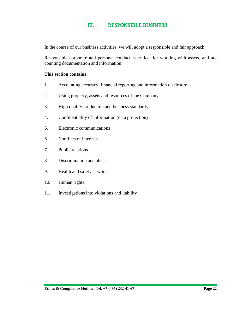#### Ш. **RESPONSIBLE BUSINESS**

In the course of our business activities, we will adopt a responsible and fair approach.

Responsible corporate and personal conduct is critical for working with assets, and accounting documentation and information.

#### **This section contains:**

- 1. Accounting accuracy, financial reporting and information disclosure
- 2. Using property, assets and resources of the Company
- 3. High quality production and business standards
- 4. Confidentiality of information (data protection)
- 5. Electronic communications
- 6. Conflicts of interests
- 7. Public relations
- 8 Discrimination and abuse
- 9. Health and safety at work
- 10. Human rights
- 11. Investigations into violations and liability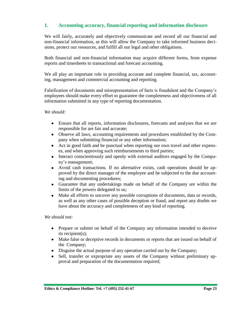## **1. Accounting accuracy, financial reporting and information disclosure**

We will fairly, accurately and objectively communicate and record all our financial and non-financial information, as this will allow the Company to take informed business decisions, protect our resources, and fulfill all our legal and other obligations.

Both financial and non-financial information may acquire different forms, from expense reports and timesheets to transactional and forecast accounting.

We all play an important role in providing accurate and complete financial, tax, accounting, management and commercial accounting and reporting.

Falsification of documents and misrepresentation of facts is fraudulent and the Company's employees should make every effort to guarantee the completeness and objectiveness of all information submitted in any type of reporting documentation.

#### *We should:*

- Ensure that all reports, information disclosures, forecasts and analyses that we are responsible for are fair and accurate;
- Observe all laws, accounting requirements and procedures established by the Company when submitting financial or any other information;
- Act in good faith and be punctual when reporting our own travel and other expenses, and when approving such reimbursements to third parties;
- Interact conscientiously and openly with external auditors engaged by the Company's management;
- Avoid cash transactions. If no alternative exists, cash operations should be approved by the direct manager of the employee and be subjected to the due accounting and documenting procedures;
- Guarantee that any undertakings made on behalf of the Company are within the limits of the powers delegated to us;
- Make all efforts to uncover any possible corruptions of documents, data or records, as well as any other cases of possible deception or fraud, and report any doubts we have about the accuracy and completeness of any kind of reporting.

#### *We should not:*

- Prepare or submit on behalf of the Company any information intended to deceive its recipient(s);
- Make false or deceptive records in documents or reports that are issued on behalf of the Company;
- Disguise the actual purpose of any operation carried out by the Company;
- Sell, transfer or expropriate any assets of the Company without preliminary approval and preparation of the documentation required;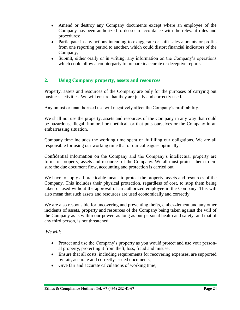- Amend or destroy any Company documents except where an employee of the Company has been authorized to do so in accordance with the relevant rules and procedures;
- Participate in any actions intending to exaggerate or shift sales amounts or profits from one reporting period to another, which could distort financial indicators of the Company;
- Submit, either orally or in writing, any information on the Company's operations which could allow a counterparty to prepare inaccurate or deceptive reports.

## **2. Using Company property, assets and resources**

Property, assets and resources of the Company are only for the purposes of carrying out business activities. We will ensure that they are justly and correctly used.

Any unjust or unauthorized use will negatively affect the Company's profitability.

We shall not use the property, assets and resources of the Company in any way that could be hazardous, illegal, immoral or unethical, or that puts ourselves or the Company in an embarrassing situation.

Company time includes the working time spent on fulfilling our obligations. We are all responsible for using our working time that of our colleagues optimally.

Confidential information on the Company and the Company's intellectual property are forms of property, assets and resources of the Company. We all must protect them to ensure the due document flow, accounting and protection is carried out.

We have to apply all practicable means to protect the property, assets and resources of the Company. This includes their physical protection, regardless of cost, to stop them being taken or used without the approval of an authorized employee in the Company. This will also mean that such assets and resources are used economically and correctly.

We are also responsible for uncovering and preventing thefts, embezzlement and any other incidents of assets, property and resources of the Company being taken against the will of the Company as is within our power, as long as our personal health and safety, and that of any third person, is not threatened.

#### *We will:*

- Protect and use the Company's property as you would protect and use your personal property, protecting it from theft, loss, fraud and misuse;
- Ensure that all costs, including requirements for recovering expenses, are supported by fair, accurate and correctly-issued documents;
- Give fair and accurate calculations of working time;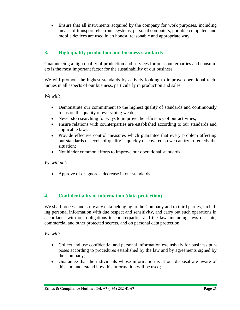Ensure that all instruments acquired by the company for work purposes, including means of transport, electronic systems, personal computers, portable computers and mobile devices are used in an honest, reasonable and appropriate way.

## **3. High quality production and business standards**

Guaranteeing a high quality of production and services for our counterparties and consumers is the most important factor for the sustainability of our business.

We will promote the highest standards by actively looking to improve operational techniques in all aspects of our business, particularly in production and sales.

*We will:*

- Demonstrate our commitment to the highest quality of standards and continuously focus on the quality of everything we do;
- Never stop searching for ways to improve the efficiency of our activities;
- ensure relations with counterparties are established according to our standards and applicable laws;
- Provide effective control measures which guarantee that every problem affecting our standards or levels of quality is quickly discovered so we can try to remedy the situation;
- Not hinder common efforts to improve our operational standards.

*We will not:*

• Approve of or ignore a decrease in our standards.

## **4. Confidentiality of information (data protection)**

We shall process and store any data belonging to the Company and to third parties, including personal information with due respect and sensitivity, and carry out such operations in accordance with our obligations to counterparties and the law, including laws on state, commercial and other protected secrets, and on personal data protection.

*We will:*

- Collect and use confidential and personal information exclusively for business purposes according to procedures established by the law and by agreements signed by the Company;
- Guarantee that the individuals whose information is at our disposal are aware of this and understand how this information will be used;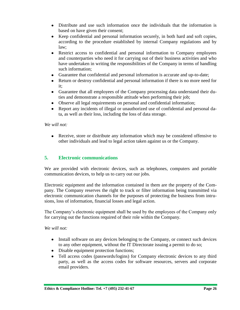- Distribute and use such information once the individuals that the information is based on have given their consent;
- Keep confidential and personal information securely, in both hard and soft copies, according to the procedure established by internal Company regulations and by law;
- Restrict access to confidential and personal information to Company employees and counterparties who need it for carrying out of their business activities and who have undertaken in writing the responsibilities of the Company in terms of handling such information;
- Guarantee that confidential and personal information is accurate and up-to-date;
- Return or destroy confidential and personal information if there is no more need for it;
- Guarantee that all employees of the Company processing data understand their duties and demonstrate a responsible attitude when performing their job;
- Observe all legal requirements on personal and confidential information;
- Report any incidents of illegal or unauthorized use of confidential and personal data, as well as their loss, including the loss of data storage.

#### *We will not:*

Receive, store or distribute any information which may be considered offensive to other individuals and lead to legal action taken against us or the Company.

## **5. Electronic communications**

We are provided with electronic devices, such as telephones, computers and portable communication devices, to help us to carry out our jobs.

Electronic equipment and the information contained in them are the property of the Company. The Company reserves the right to track or filter information being transmitted via electronic communication channels for the purposes of protecting the business from intrusions, loss of information, financial losses and legal action.

The Company's electronic equipment shall be used by the employees of the Company only for carrying out the functions required of their role within the Company.

#### *We will not:*

- Install software on any devices belonging to the Company, or connect such devices to any other equipment, without the IT Directorate issuing a permit to do so;
- Disable equipment protection functions;
- Tell access codes (passwords/logins) for Company electronic devices to any third party, as well as the access codes for software resources, servers and corporate email providers.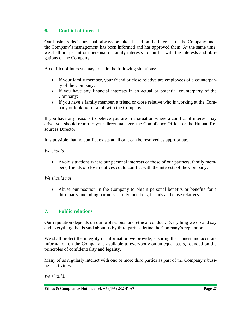## **6. Conflict of interest**

Our business decisions shall always be taken based on the interests of the Company once the Company's management has been informed and has approved them. At the same time, we shall not permit our personal or family interests to conflict with the interests and obligations of the Company.

A conflict of interests may arise in the following situations:

- If your family member, your friend or close relative are employees of a counterparty of the Company;
- If you have any financial interests in an actual or potential counterparty of the Company;
- If you have a family member, a friend or close relative who is working at the Company or looking for a job with the Company.

If you have any reasons to believe you are in a situation where a conflict of interest may arise, you should report to your direct manager, the Compliance Officer or the Human Resources Director.

It is possible that no conflict exists at all or it can be resolved as appropriate.

*We should:*

Avoid situations where our personal interests or those of our partners, family members, friends or close relatives could conflict with the interests of the Company.

*We should not:*

Abuse our position in the Company to obtain personal benefits or benefits for a third party, including partners, family members, friends and close relatives.

## **7. Public relations**

Our reputation depends on our professional and ethical conduct. Everything we do and say and everything that is said about us by third parties define the Company's reputation.

We shall protect the integrity of information we provide, ensuring that honest and accurate information on the Company is available to everybody on an equal basis, founded on the principles of confidentiality and legality.

Many of us regularly interact with one or more third parties as part of the Company's business activities.

*We should:*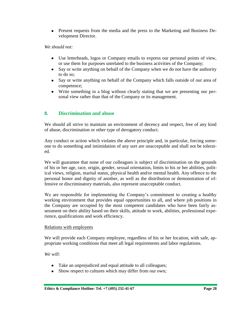Present requests from the media and the press to the Marketing and Business Development Director.

#### *We should not:*

- Use letterheads, logos or Company emails to express our personal points of view, or use them for purposes unrelated to the business activities of the Company;
- Say or write anything on behalf of the Company when we do not have the authority to do so;
- Say or write anything on behalf of the Company which falls outside of our area of competence;
- Write something in a blog without clearly stating that we are presenting our personal view rather than that of the Company or its management.

## **8. Discrimination and abuse**

We should all strive to maintain an environment of decency and respect, free of any kind of abuse, discrimination or other type of derogatory conduct.

Any conduct or action which violates the above principle and, in particular, forcing someone to do something and intimidation of any sort are unacceptable and shall not be tolerated.

We will guarantee that none of our colleagues is subject of discrimination on the grounds of his or her age, race, origin, gender, sexual orientation, limits to his or her abilities, political views, religion, marital status, physical health and/or mental health. Any offence to the personal honor and dignity of another, as well as the distribution or demonstration of offensive or discriminatory materials, also represent unacceptable conduct.

We are responsible for implementing the Company's commitment to creating a healthy working environment that provides equal opportunities to all, and where job positions in the Company are occupied by the most competent candidates who have been fairly assessment on their ability based on their skills, attitude to work, abilities, professional experience, qualifications and work efficiency.

#### Relations with employees

We will provide each Company employee, regardless of his or her location, with safe, appropriate working conditions that meet all legal requirements and labor regulations.

*We will:*

- Take an unprejudiced and equal attitude to all colleagues;
- Show respect to cultures which may differ from our own;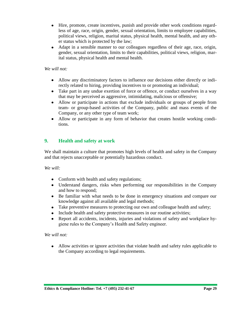- Hire, promote, create incentives, punish and provide other work conditions regardless of age, race, origin, gender, sexual orientation, limits to employee capabilities, political views, religion, marital status, physical health, mental health, and any other status which is protected by the law;
- Adapt in a sensible manner to our colleagues regardless of their age, race, origin, gender, sexual orientation, limits to their capabilities, political views, religion, marital status, physical health and mental health.

#### *We will not:*

- Allow any discriminatory factors to influence our decisions either directly or indirectly related to hiring, providing incentives to or promoting an individual;
- Take part in any undue exertion of force or offence, or conduct ourselves in a way that may be perceived as aggressive, intimidating, malicious or offensive;
- Allow or participate in actions that exclude individuals or groups of people from team- or group-based activities of the Company, public and mass events of the Company, or any other type of team work;
- Allow or participate in any form of behavior that creates hostile working conditions.

## **9. Health and safety at work**

We shall maintain a culture that promotes high levels of health and safety in the Company and that rejects unacceptable or potentially hazardous conduct.

*We will:*

- Conform with health and safety regulations;
- Understand dangers, risks when performing our responsibilities in the Company and how to respond;
- Be familiar with what needs to be done in emergency situations and compare our knowledge against all available and legal methods;
- Take preventive measures to protecting our own and colleague health and safety;
- Include health and safety protective measures in our routine activities;
- Report all accidents, incidents, injuries and violations of safety and workplace hygiene rules to the Company's Health and Safety engineer.

#### *We will not:*

Allow activities or ignore activities that violate health and safety rules applicable to the Company according to legal requirements.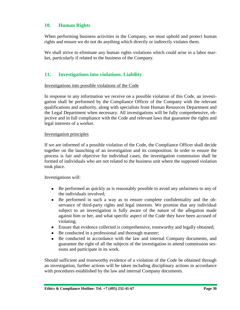## **10. Human Rights**

When performing business activities in the Company, we must uphold and protect human rights and ensure we do not do anything which directly or indirectly violates them.

We shall strive to eliminate any human rights violations which could arise in a labor market, particularly if related to the business of the Company.

## **11. Investigations into violations. Liability**

#### Investigations into possible violations of the Code

In response to any information we receive on a possible violation of this Code, an investigation shall be performed by the Compliance Officer of the Company with the relevant qualifications and authority, along with specialists from Human Resources Department and the Legal Department when necessary. All investigations will be fully comprehensive, objective and in full compliance with the Code and relevant laws that guarantee the rights and legal interests of a worker.

#### Investigation principles

If we are informed of a possible violation of the Code, the Compliance Officer shall decide together on the launching of an investigation and its composition. In order to ensure the process is fair and objective for individual cases, the investigation commission shall be formed of individuals who are not related to the business unit where the supposed violation took place.

Investigations will:

- Be performed as quickly as is reasonably possible to avoid any unfairness to any of the individuals involved;
- Be performed in such a way as to ensure complete confidentiality and the observance of third-party rights and legal interests. We promise that any individual subject to an investigation is fully aware of the nature of the allegation made against him or her, and what specific aspect of the Code they have been accused of violating;
- Ensure that evidence collected is comprehensive, trustworthy and legally obtained;
- Be conducted in a professional and thorough manner;
- Be conducted in accordance with the law and internal Company documents, and guarantee the right of all the subjects of the investigation to attend commission sessions and participate in its work.

Should sufficient and trustworthy evidence of a violation of the Code be obtained through an investigation, further actions will be taken including disciplinary actions in accordance with procedures established by the law and internal Company documents.